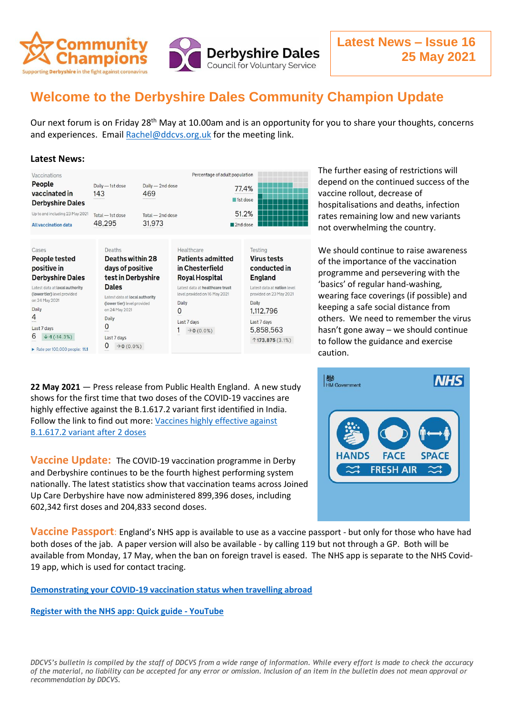

## **Welcome to the Derbyshire Dales Community Champion Update**

Our next forum is on Friday 28<sup>th</sup> May at 10.00am and is an opportunity for you to share your thoughts, concerns and experiences. Email [Rachel@ddcvs.org.uk](mailto:Rachel@ddcvs.org.uk) for the meeting link.

## **Latest News:**

| Vaccinations                                                   |                                         |                                           | Percentage of adult population                      |  |
|----------------------------------------------------------------|-----------------------------------------|-------------------------------------------|-----------------------------------------------------|--|
| People<br>vaccinated in<br><b>Derbyshire Dales</b>             | Daily - 1st dose<br>143<br>************ | Daily - 2nd dose<br>469<br>************** | 77.4%<br>1st dose                                   |  |
| Up to and including 23 May 2021<br><b>All vaccination data</b> | Total - 1st dose<br>48.295              | Total - 2nd dose<br>31,973                | 51.2%<br><b>CYPERINATION</b> CONTINUES.<br>2nd dose |  |

Cases Deaths Healthcare Testing Deaths within 28 **Patients admitted People tested Virus tests** positive in days of positive in Chesterfield conducted in **Derbyshire Dales** test in Derbyshire **Royal Hospital England** Latest data at local authority **Dales** Latest data at healthcare trust Latest data at nation level (lower tier) level provided level provided on 16 May 2021 provided on 23 May 2021 Latest data at local authority on 24 May 2021 Daily Daily (lower tier) level provided Daily on 24 May 2021  $\Omega$ 1,112,796  $\overline{4}$ Daily Last 7 days Last 7 days  $\overline{0}$ Last 7 days 5,858,563  $1 \rightarrow 0(0.0\%)$  $6 + 1(-14.3%)$ Last 7 days  $\uparrow$  173,875 (3.1%)  $0 \rightarrow 0 (0.0%)$ Rate per 100,000 people: 11.1

**22 May 2021** — Press release from Public Health England. A new study shows for the first time that two doses of the COVID-19 vaccines are highly effective against the B.1.617.2 variant first identified in India. Follow the link to find out more: [Vaccines highly effective against](https://www.gov.uk/government/news/vaccines-highly-effective-against-b-1-617-2-variant-after-2-doses)  [B.1.617.2 variant after 2 doses](https://www.gov.uk/government/news/vaccines-highly-effective-against-b-1-617-2-variant-after-2-doses)

**Vaccine Update:** The COVID-19 vaccination programme in Derby and Derbyshire continues to be the fourth highest performing system nationally. The latest statistics show that vaccination teams across Joined Up Care Derbyshire have now administered 899,396 doses, including 602,342 first doses and 204,833 second doses.

The further easing of restrictions will depend on the continued success of the vaccine rollout, decrease of hospitalisations and deaths, infection rates remaining low and new variants not overwhelming the country.

We should continue to raise awareness of the importance of the vaccination programme and persevering with the 'basics' of regular hand-washing, wearing face coverings (if possible) and keeping a safe social distance from others. We need to remember the virus hasn't gone away – we should continue to follow the guidance and exercise caution.



**Vaccine Passport**: England's NHS app is available to use as a vaccine passport - but only for those who have had both doses of the jab. A paper version will also be available - by calling 119 but not through a GP. Both will be available from Monday, 17 May, when the ban on foreign travel is eased. The NHS app is separate to the NHS Covid-19 app, which is used for contact tracing.

**[Demonstrating your COVID-19 vaccination status when travelling abroad](https://www.gov.uk/guidance/demonstrating-your-covid-19-vaccination-status-when-travelling-abroad)**

**[Register with the NHS app: Quick guide -](https://www.youtube.com/watch?v=Q0SCcLtw8JA) YouTube**

*DDCVS's bulletin is compiled by the staff of DDCVS from a wide range of information. While every effort is made to check the accuracy of the material, no liability can be accepted for any error or omission. Inclusion of an item in the bulletin does not mean approval or recommendation by DDCVS.*